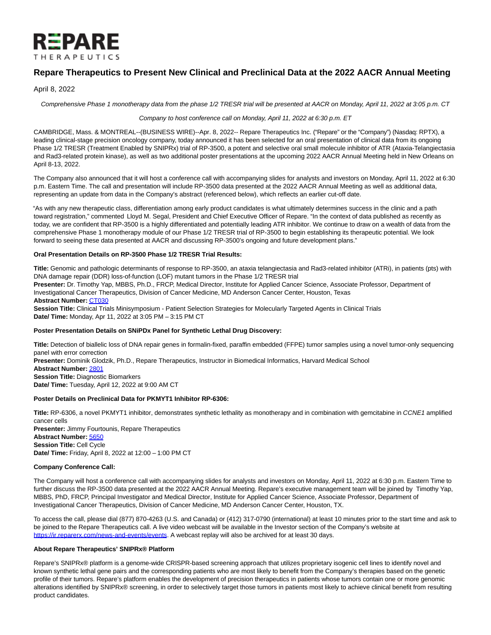

# **Repare Therapeutics to Present New Clinical and Preclinical Data at the 2022 AACR Annual Meeting**

April 8, 2022

Comprehensive Phase 1 monotherapy data from the phase 1/2 TRESR trial will be presented at AACR on Monday, April 11, 2022 at 3:05 p.m. CT

Company to host conference call on Monday, April 11, 2022 at 6:30 p.m. ET

CAMBRIDGE, Mass. & MONTREAL--(BUSINESS WIRE)--Apr. 8, 2022-- Repare Therapeutics Inc. ("Repare" or the "Company") (Nasdaq: RPTX), a leading clinical-stage precision oncology company, today announced it has been selected for an oral presentation of clinical data from its ongoing Phase 1/2 TRESR (Treatment Enabled by SNIPRx) trial of RP-3500, a potent and selective oral small molecule inhibitor of ATR (Ataxia-Telangiectasia and Rad3-related protein kinase), as well as two additional poster presentations at the upcoming 2022 AACR Annual Meeting held in New Orleans on April 8-13, 2022.

The Company also announced that it will host a conference call with accompanying slides for analysts and investors on Monday, April 11, 2022 at 6:30 p.m. Eastern Time. The call and presentation will include RP-3500 data presented at the 2022 AACR Annual Meeting as well as additional data, representing an update from data in the Company's abstract (referenced below), which reflects an earlier cut-off date.

"As with any new therapeutic class, differentiation among early product candidates is what ultimately determines success in the clinic and a path toward registration," commented Lloyd M. Segal, President and Chief Executive Officer of Repare. "In the context of data published as recently as today, we are confident that RP-3500 is a highly differentiated and potentially leading ATR inhibitor. We continue to draw on a wealth of data from the comprehensive Phase 1 monotherapy module of our Phase 1/2 TRESR trial of RP-3500 to begin establishing its therapeutic potential. We look forward to seeing these data presented at AACR and discussing RP-3500's ongoing and future development plans."

# **Oral Presentation Details on RP-3500 Phase 1/2 TRESR Trial Results:**

**Title:** Genomic and pathologic determinants of response to RP-3500, an ataxia telangiectasia and Rad3-related inhibitor (ATRi), in patients (pts) with DNA damage repair (DDR) loss-of-function (LOF) mutant tumors in the Phase 1/2 TRESR trial

**Presenter:** Dr. Timothy Yap, MBBS, Ph.D., FRCP, Medical Director, Institute for Applied Cancer Science, Associate Professor, Department of Investigational Cancer Therapeutics, Division of Cancer Medicine, MD Anderson Cancer Center, Houston, Texas

**Abstract Number:** [CT030](https://cts.businesswire.com/ct/CT?id=smartlink&url=https%3A%2F%2Fwww.abstractsonline.com%2Fpp8%2F%23%21%2F10517%2Fpresentation%2F20168&esheet=52671815&newsitemid=20220408005330&lan=en-US&anchor=CT030&index=1&md5=97863ebe7b11a128d361f8259ea5ae48)

**Session Title:** Clinical Trials Minisymposium - Patient Selection Strategies for Molecularly Targeted Agents in Clinical Trials **Date/ Time:** Monday, Apr 11, 2022 at 3:05 PM – 3:15 PM CT

# **Poster Presentation Details on SNiPDx Panel for Synthetic Lethal Drug Discovery:**

**Title:** Detection of biallelic loss of DNA repair genes in formalin-fixed, paraffin embedded (FFPE) tumor samples using a novel tumor-only sequencing panel with error correction

**Presenter:** Dominik Glodzik, Ph.D., Repare Therapeutics, Instructor in Biomedical Informatics, Harvard Medical School

**Abstract Number:** [2801](https://cts.businesswire.com/ct/CT?id=smartlink&url=https%3A%2F%2Fwww.abstractsonline.com%2Fpp8%2F%23%21%2F10517%2Fpresentation%2F12779&esheet=52671815&newsitemid=20220408005330&lan=en-US&anchor=2801&index=2&md5=1d10fa2307318d6de6fa630a7bb69f25) **Session Title:** Diagnostic Biomarkers **Date/ Time:** Tuesday, April 12, 2022 at 9:00 AM CT

# **Poster Details on Preclinical Data for PKMYT1 Inhibitor RP-6306:**

**Title:** RP-6306, a novel PKMYT1 inhibitor, demonstrates synthetic lethality as monotherapy and in combination with gemcitabine in CCNE1 amplified cancer cells **Presenter:** Jimmy Fourtounis, Repare Therapeutics **Abstract Number:** [5650](https://cts.businesswire.com/ct/CT?id=smartlink&url=https%3A%2F%2Fwww.abstractsonline.com%2Fpp8%2F%23%21%2F10517%2Fpresentation%2F18776&esheet=52671815&newsitemid=20220408005330&lan=en-US&anchor=5650&index=3&md5=827a0834a09b272a0330179108b0f701) **Session Title:** Cell Cycle **Date/ Time:** Friday, April 8, 2022 at 12:00 – 1:00 PM CT

# **Company Conference Call:**

The Company will host a conference call with accompanying slides for analysts and investors on Monday, April 11, 2022 at 6:30 p.m. Eastern Time to further discuss the RP-3500 data presented at the 2022 AACR Annual Meeting. Repare's executive management team will be joined by Timothy Yap, MBBS, PhD, FRCP, Principal Investigator and Medical Director, Institute for Applied Cancer Science, Associate Professor, Department of Investigational Cancer Therapeutics, Division of Cancer Medicine, MD Anderson Cancer Center, Houston, TX.

To access the call, please dial (877) 870-4263 (U.S. and Canada) or (412) 317-0790 (international) at least 10 minutes prior to the start time and ask to be joined to the Repare Therapeutics call. A live video webcast will be available in the Investor section of the Company's website at [https://ir.reparerx.com/news-and-events/events.](https://cts.businesswire.com/ct/CT?id=smartlink&url=https%3A%2F%2Fir.reparerx.com%2Fnews-and-events%2Fevents&esheet=52671815&newsitemid=20220408005330&lan=en-US&anchor=https%3A%2F%2Fir.reparerx.com%2Fnews-and-events%2Fevents&index=4&md5=6692f2f5a48c057178660d337ce41d22) A webcast replay will also be archived for at least 30 days.

# **About Repare Therapeutics' SNIPRx® Platform**

Repare's SNIPRx® platform is a genome-wide CRISPR-based screening approach that utilizes proprietary isogenic cell lines to identify novel and known synthetic lethal gene pairs and the corresponding patients who are most likely to benefit from the Company's therapies based on the genetic profile of their tumors. Repare's platform enables the development of precision therapeutics in patients whose tumors contain one or more genomic alterations identified by SNIPRx® screening, in order to selectively target those tumors in patients most likely to achieve clinical benefit from resulting product candidates.